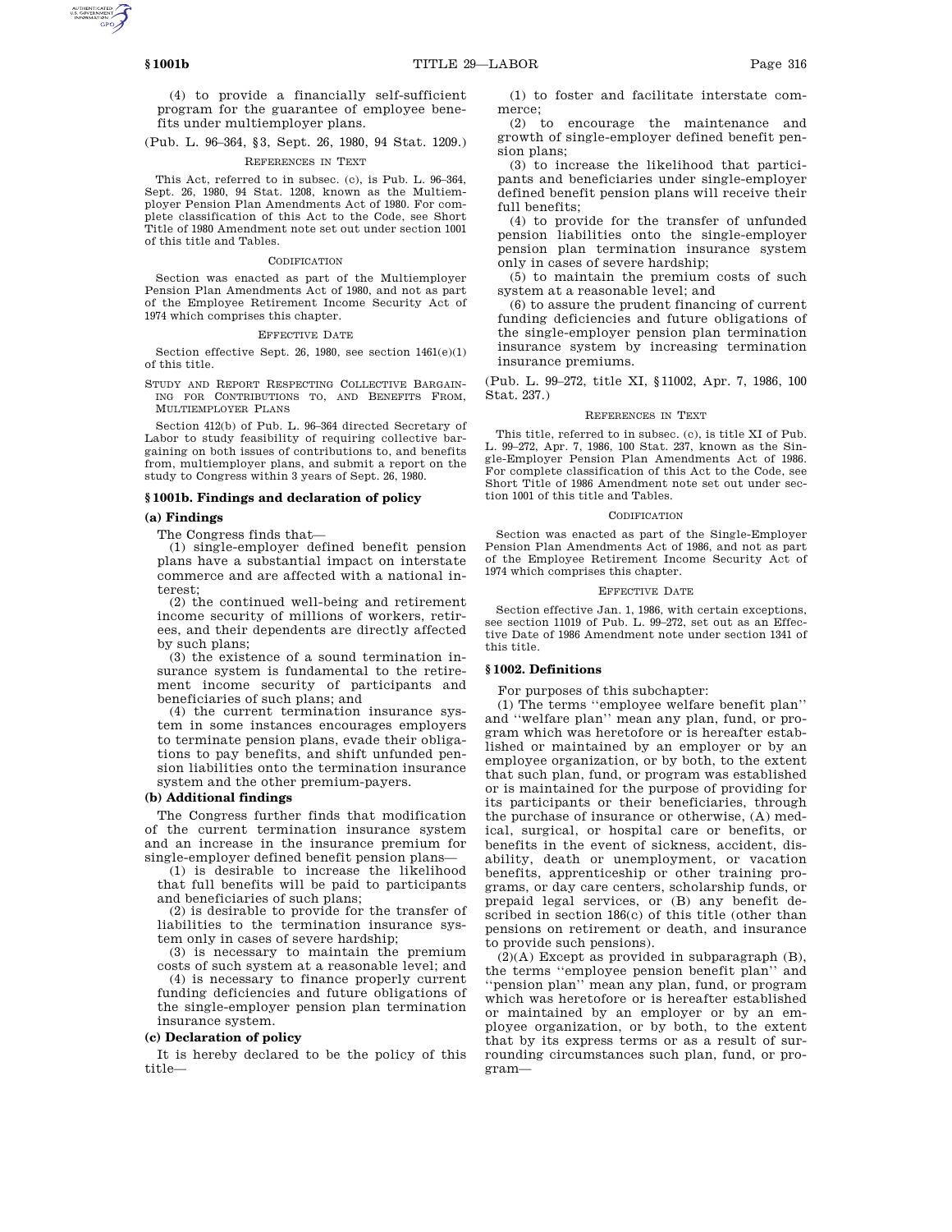(4) to provide a financially self-sufficient program for the guarantee of employee benefits under multiemployer plans.

(Pub. L. 96–364, §3, Sept. 26, 1980, 94 Stat. 1209.)

# REFERENCES IN TEXT

This Act, referred to in subsec. (c), is Pub. L. 96–364, Sept. 26, 1980, 94 Stat. 1208, known as the Multiemployer Pension Plan Amendments Act of 1980. For complete classification of this Act to the Code, see Short Title of 1980 Amendment note set out under section 1001 of this title and Tables.

#### CODIFICATION

Section was enacted as part of the Multiemployer Pension Plan Amendments Act of 1980, and not as part of the Employee Retirement Income Security Act of 1974 which comprises this chapter.

#### EFFECTIVE DATE

Section effective Sept. 26, 1980, see section 1461(e)(1) of this title.

STUDY AND REPORT RESPECTING COLLECTIVE BARGAIN-ING FOR CONTRIBUTIONS TO, AND BENEFITS FROM, MULTIEMPLOYER PLANS

Section 412(b) of Pub. L. 96–364 directed Secretary of Labor to study feasibility of requiring collective bargaining on both issues of contributions to, and benefits from, multiemployer plans, and submit a report on the study to Congress within 3 years of Sept. 26, 1980.

## **§ 1001b. Findings and declaration of policy**

## **(a) Findings**

The Congress finds that—

(1) single-employer defined benefit pension plans have a substantial impact on interstate commerce and are affected with a national interest;

(2) the continued well-being and retirement income security of millions of workers, retirees, and their dependents are directly affected by such plans;

(3) the existence of a sound termination insurance system is fundamental to the retirement income security of participants and beneficiaries of such plans; and

(4) the current termination insurance system in some instances encourages employers to terminate pension plans, evade their obligations to pay benefits, and shift unfunded pension liabilities onto the termination insurance system and the other premium-payers.

### **(b) Additional findings**

The Congress further finds that modification of the current termination insurance system and an increase in the insurance premium for single-employer defined benefit pension plans—

(1) is desirable to increase the likelihood that full benefits will be paid to participants and beneficiaries of such plans;

(2) is desirable to provide for the transfer of liabilities to the termination insurance system only in cases of severe hardship;

(3) is necessary to maintain the premium costs of such system at a reasonable level; and

(4) is necessary to finance properly current funding deficiencies and future obligations of the single-employer pension plan termination insurance system.

## **(c) Declaration of policy**

It is hereby declared to be the policy of this title—

(1) to foster and facilitate interstate commerce;

(2) to encourage the maintenance and growth of single-employer defined benefit pension plans;

(3) to increase the likelihood that participants and beneficiaries under single-employer defined benefit pension plans will receive their full benefits;

(4) to provide for the transfer of unfunded pension liabilities onto the single-employer pension plan termination insurance system only in cases of severe hardship;

(5) to maintain the premium costs of such system at a reasonable level; and

(6) to assure the prudent financing of current funding deficiencies and future obligations of the single-employer pension plan termination insurance system by increasing termination insurance premiums.

(Pub. L. 99–272, title XI, §11002, Apr. 7, 1986, 100 Stat. 237.)

### REFERENCES IN TEXT

This title, referred to in subsec. (c), is title XI of Pub. L. 99–272, Apr. 7, 1986, 100 Stat. 237, known as the Single-Employer Pension Plan Amendments Act of 1986. For complete classification of this Act to the Code, see Short Title of 1986 Amendment note set out under section 1001 of this title and Tables.

#### CODIFICATION

Section was enacted as part of the Single-Employer Pension Plan Amendments Act of 1986, and not as part of the Employee Retirement Income Security Act of 1974 which comprises this chapter.

### EFFECTIVE DATE

Section effective Jan. 1, 1986, with certain exceptions, see section 11019 of Pub. L. 99–272, set out as an Effective Date of 1986 Amendment note under section 1341 of this title.

# **§ 1002. Definitions**

For purposes of this subchapter:

(1) The terms ''employee welfare benefit plan'' and ''welfare plan'' mean any plan, fund, or program which was heretofore or is hereafter established or maintained by an employer or by an employee organization, or by both, to the extent that such plan, fund, or program was established or is maintained for the purpose of providing for its participants or their beneficiaries, through the purchase of insurance or otherwise, (A) medical, surgical, or hospital care or benefits, or benefits in the event of sickness, accident, disability, death or unemployment, or vacation benefits, apprenticeship or other training programs, or day care centers, scholarship funds, or prepaid legal services, or (B) any benefit described in section 186(c) of this title (other than pensions on retirement or death, and insurance to provide such pensions).

 $(2)(A)$  Except as provided in subparagraph  $(B)$ , the terms ''employee pension benefit plan'' and 'pension plan'' mean any plan, fund, or program which was heretofore or is hereafter established or maintained by an employer or by an employee organization, or by both, to the extent that by its express terms or as a result of surrounding circumstances such plan, fund, or program—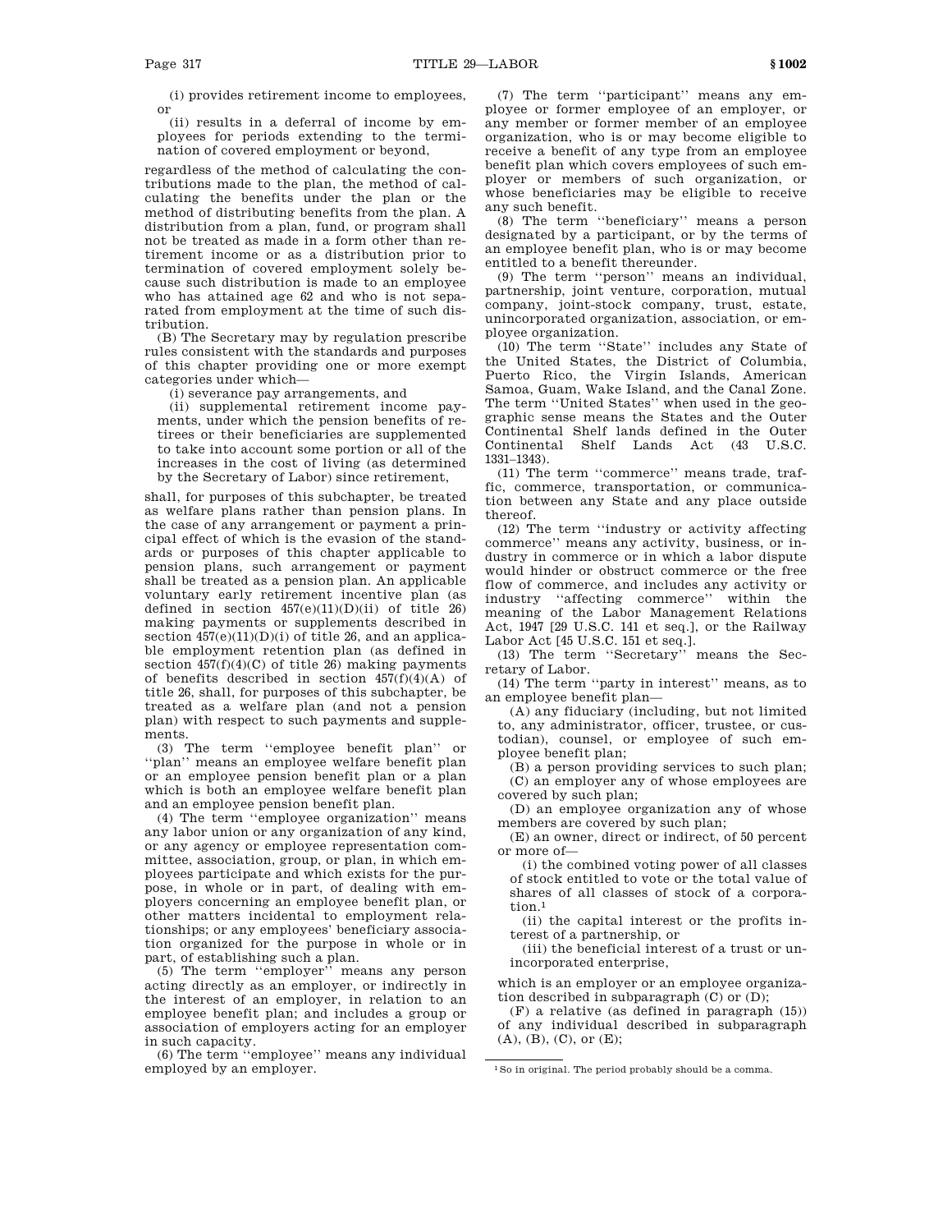(i) provides retirement income to employees, or

(ii) results in a deferral of income by employees for periods extending to the termination of covered employment or beyond,

regardless of the method of calculating the contributions made to the plan, the method of calculating the benefits under the plan or the method of distributing benefits from the plan. A distribution from a plan, fund, or program shall not be treated as made in a form other than retirement income or as a distribution prior to termination of covered employment solely because such distribution is made to an employee who has attained age 62 and who is not separated from employment at the time of such distribution.

(B) The Secretary may by regulation prescribe rules consistent with the standards and purposes of this chapter providing one or more exempt categories under which—

(i) severance pay arrangements, and

(ii) supplemental retirement income payments, under which the pension benefits of retirees or their beneficiaries are supplemented to take into account some portion or all of the increases in the cost of living (as determined by the Secretary of Labor) since retirement,

shall, for purposes of this subchapter, be treated as welfare plans rather than pension plans. In the case of any arrangement or payment a principal effect of which is the evasion of the standards or purposes of this chapter applicable to pension plans, such arrangement or payment shall be treated as a pension plan. An applicable voluntary early retirement incentive plan (as defined in section  $457(e)(11)(D)(ii)$  of title 26) making payments or supplements described in section  $457(e)(11)(D)(i)$  of title 26, and an applicable employment retention plan (as defined in section  $457(f)(4)(C)$  of title 26) making payments of benefits described in section  $457(f)(4)(A)$  of title 26, shall, for purposes of this subchapter, be treated as a welfare plan (and not a pension plan) with respect to such payments and supplements.

(3) The term ''employee benefit plan'' or ''plan'' means an employee welfare benefit plan or an employee pension benefit plan or a plan which is both an employee welfare benefit plan and an employee pension benefit plan.

(4) The term ''employee organization'' means any labor union or any organization of any kind, or any agency or employee representation committee, association, group, or plan, in which employees participate and which exists for the purpose, in whole or in part, of dealing with employers concerning an employee benefit plan, or other matters incidental to employment relationships; or any employees' beneficiary association organized for the purpose in whole or in part, of establishing such a plan.

(5) The term ''employer'' means any person acting directly as an employer, or indirectly in the interest of an employer, in relation to an employee benefit plan; and includes a group or association of employers acting for an employer in such capacity.

(6) The term ''employee'' means any individual employed by an employer.

(7) The term ''participant'' means any employee or former employee of an employer, or any member or former member of an employee organization, who is or may become eligible to receive a benefit of any type from an employee benefit plan which covers employees of such employer or members of such organization, or whose beneficiaries may be eligible to receive any such benefit.

(8) The term ''beneficiary'' means a person designated by a participant, or by the terms of an employee benefit plan, who is or may become entitled to a benefit thereunder.

(9) The term ''person'' means an individual, partnership, joint venture, corporation, mutual company, joint-stock company, trust, estate, unincorporated organization, association, or employee organization.

(10) The term ''State'' includes any State of the United States, the District of Columbia, Puerto Rico, the Virgin Islands, American Samoa, Guam, Wake Island, and the Canal Zone. The term ''United States'' when used in the geographic sense means the States and the Outer Continental Shelf lands defined in the Outer Continental Shelf Lands Act (43 U.S.C. 1331–1343).

(11) The term ''commerce'' means trade, traffic, commerce, transportation, or communication between any State and any place outside thereof.

(12) The term ''industry or activity affecting commerce'' means any activity, business, or industry in commerce or in which a labor dispute would hinder or obstruct commerce or the free flow of commerce, and includes any activity or industry ''affecting commerce'' within the meaning of the Labor Management Relations Act, 1947 [29 U.S.C. 141 et seq.], or the Railway Labor Act [45 U.S.C. 151 et seq.].

(13) The term ''Secretary'' means the Secretary of Labor.

(14) The term ''party in interest'' means, as to an employee benefit plan—

(A) any fiduciary (including, but not limited to, any administrator, officer, trustee, or custodian), counsel, or employee of such employee benefit plan;

(B) a person providing services to such plan; (C) an employer any of whose employees are covered by such plan;

(D) an employee organization any of whose members are covered by such plan;

(E) an owner, direct or indirect, of 50 percent or more of—

(i) the combined voting power of all classes of stock entitled to vote or the total value of shares of all classes of stock of a corporation.<sup>1</sup>

(ii) the capital interest or the profits interest of a partnership, or

(iii) the beneficial interest of a trust or unincorporated enterprise,

which is an employer or an employee organization described in subparagraph (C) or (D);

(F) a relative (as defined in paragraph (15)) of any individual described in subparagraph (A), (B), (C), or (E);

<sup>1</sup>So in original. The period probably should be a comma.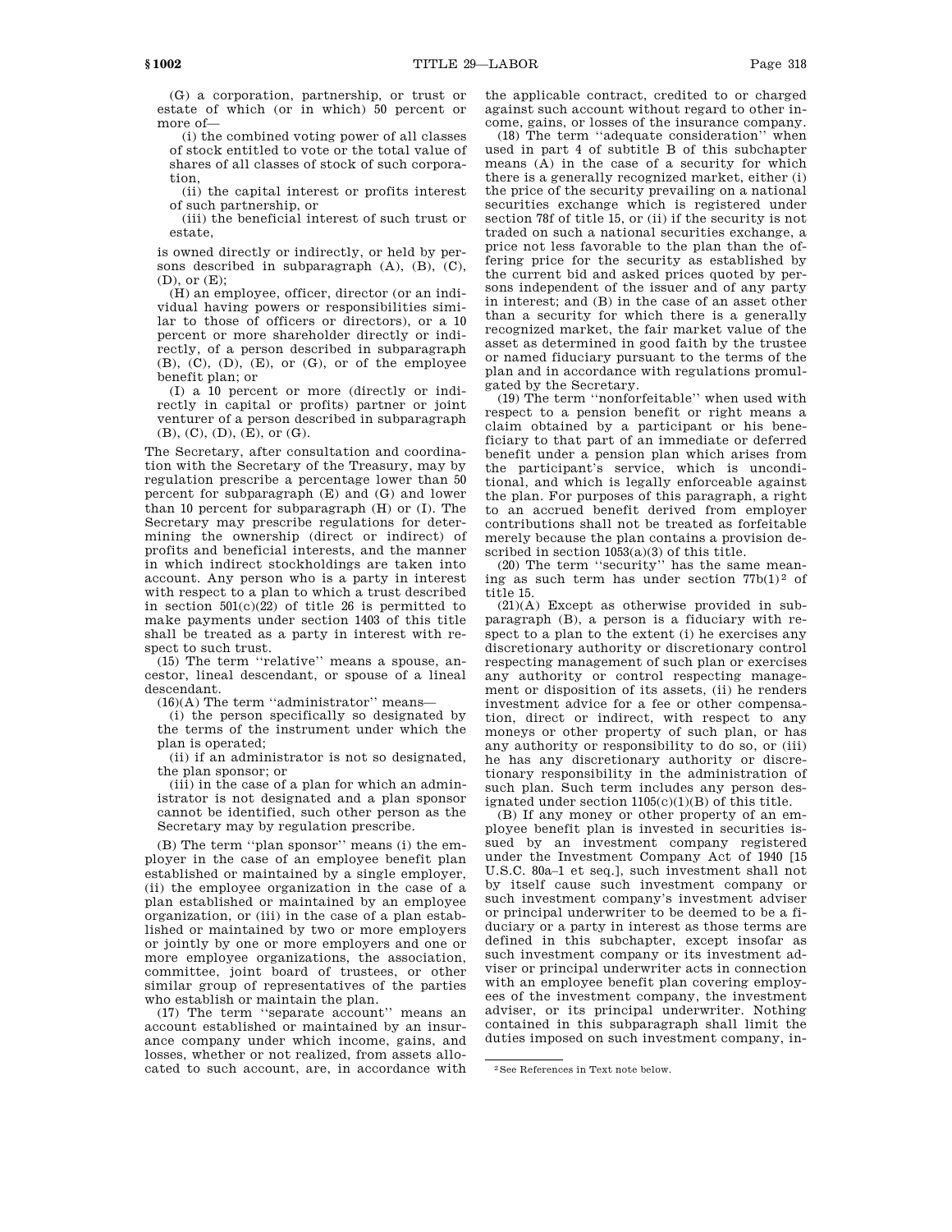(G) a corporation, partnership, or trust or estate of which (or in which) 50 percent or more of—

(i) the combined voting power of all classes of stock entitled to vote or the total value of shares of all classes of stock of such corporation,

(ii) the capital interest or profits interest of such partnership, or

(iii) the beneficial interest of such trust or estate,

is owned directly or indirectly, or held by persons described in subparagraph (A), (B), (C), (D), or (E);

(H) an employee, officer, director (or an individual having powers or responsibilities similar to those of officers or directors), or a 10 percent or more shareholder directly or indirectly, of a person described in subparagraph  $(B)$ ,  $(C)$ ,  $(D)$ ,  $(E)$ , or  $(G)$ , or of the employee benefit plan; or

(I) a 10 percent or more (directly or indirectly in capital or profits) partner or joint venturer of a person described in subparagraph (B), (C), (D), (E), or (G).

The Secretary, after consultation and coordination with the Secretary of the Treasury, may by regulation prescribe a percentage lower than 50 percent for subparagraph (E) and (G) and lower than 10 percent for subparagraph (H) or (I). The Secretary may prescribe regulations for determining the ownership (direct or indirect) of profits and beneficial interests, and the manner in which indirect stockholdings are taken into account. Any person who is a party in interest with respect to a plan to which a trust described in section 501(c)(22) of title 26 is permitted to make payments under section 1403 of this title shall be treated as a party in interest with respect to such trust.

(15) The term ''relative'' means a spouse, ancestor, lineal descendant, or spouse of a lineal descendant.

 $(16)(A)$  The term "administrator" means-

(i) the person specifically so designated by the terms of the instrument under which the plan is operated;

(ii) if an administrator is not so designated, the plan sponsor; or

(iii) in the case of a plan for which an administrator is not designated and a plan sponsor cannot be identified, such other person as the Secretary may by regulation prescribe.

(B) The term ''plan sponsor'' means (i) the employer in the case of an employee benefit plan established or maintained by a single employer, (ii) the employee organization in the case of a plan established or maintained by an employee organization, or (iii) in the case of a plan established or maintained by two or more employers or jointly by one or more employers and one or more employee organizations, the association, committee, joint board of trustees, or other similar group of representatives of the parties who establish or maintain the plan.

(17) The term ''separate account'' means an account established or maintained by an insurance company under which income, gains, and losses, whether or not realized, from assets allocated to such account, are, in accordance with

the applicable contract, credited to or charged against such account without regard to other income, gains, or losses of the insurance company.

(18) The term ''adequate consideration'' when used in part 4 of subtitle B of this subchapter means (A) in the case of a security for which there is a generally recognized market, either (i) the price of the security prevailing on a national securities exchange which is registered under section 78f of title 15, or (ii) if the security is not traded on such a national securities exchange, a price not less favorable to the plan than the offering price for the security as established by the current bid and asked prices quoted by persons independent of the issuer and of any party in interest; and (B) in the case of an asset other than a security for which there is a generally recognized market, the fair market value of the asset as determined in good faith by the trustee or named fiduciary pursuant to the terms of the plan and in accordance with regulations promulgated by the Secretary.

(19) The term ''nonforfeitable'' when used with respect to a pension benefit or right means a claim obtained by a participant or his beneficiary to that part of an immediate or deferred benefit under a pension plan which arises from the participant's service, which is unconditional, and which is legally enforceable against the plan. For purposes of this paragraph, a right to an accrued benefit derived from employer contributions shall not be treated as forfeitable merely because the plan contains a provision described in section 1053(a)(3) of this title.

(20) The term ''security'' has the same meaning as such term has under section  $77b(1)^2$  of title 15.

(21)(A) Except as otherwise provided in subparagraph (B), a person is a fiduciary with respect to a plan to the extent (i) he exercises any discretionary authority or discretionary control respecting management of such plan or exercises any authority or control respecting management or disposition of its assets, (ii) he renders investment advice for a fee or other compensation, direct or indirect, with respect to any moneys or other property of such plan, or has any authority or responsibility to do so, or (iii) he has any discretionary authority or discretionary responsibility in the administration of such plan. Such term includes any person designated under section 1105(c)(1)(B) of this title.

(B) If any money or other property of an employee benefit plan is invested in securities issued by an investment company registered under the Investment Company Act of 1940 [15 U.S.C. 80a–1 et seq.], such investment shall not by itself cause such investment company or such investment company's investment adviser or principal underwriter to be deemed to be a fiduciary or a party in interest as those terms are defined in this subchapter, except insofar as such investment company or its investment adviser or principal underwriter acts in connection with an employee benefit plan covering employees of the investment company, the investment adviser, or its principal underwriter. Nothing contained in this subparagraph shall limit the duties imposed on such investment company, in-

<sup>2</sup>See References in Text note below.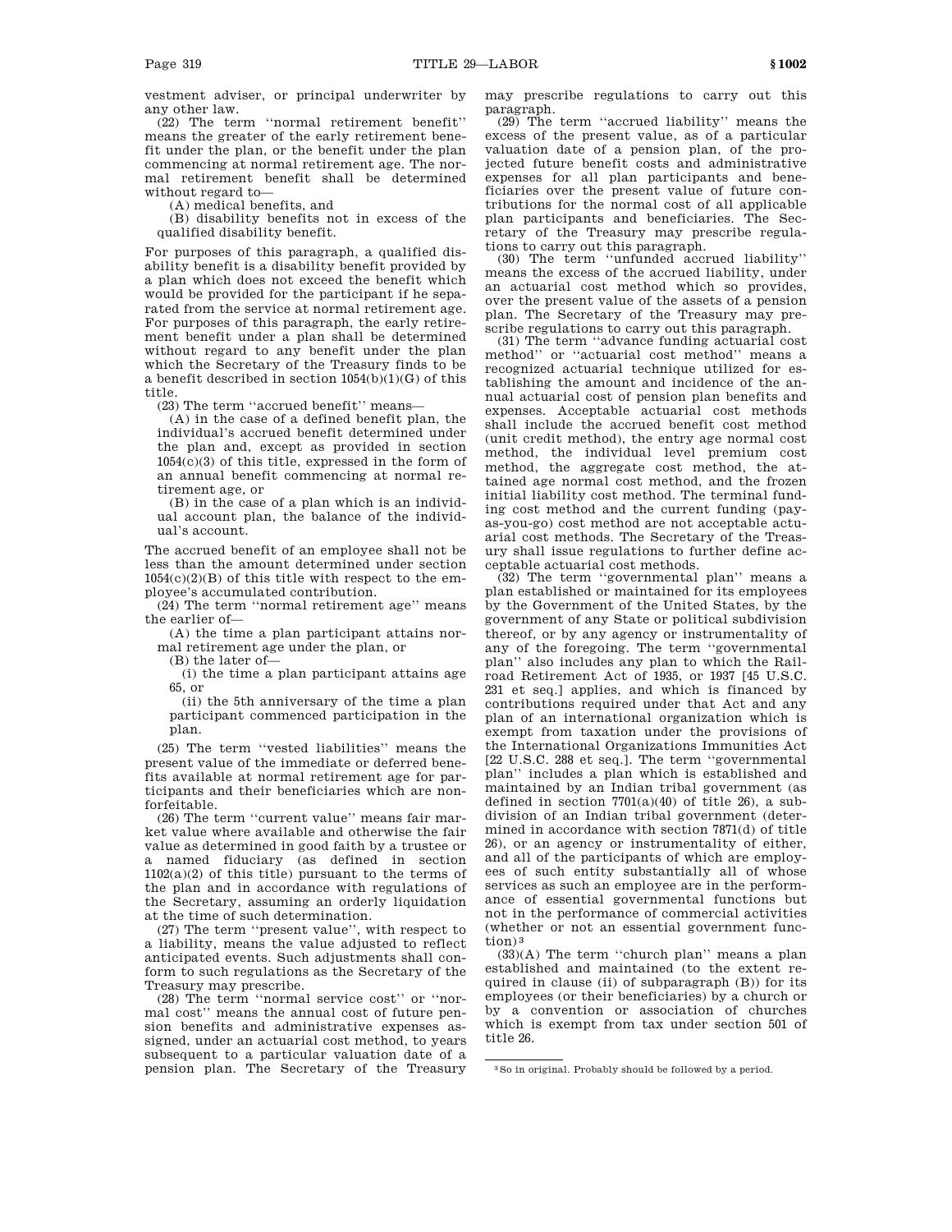vestment adviser, or principal underwriter by any other law.

(22) The term ''normal retirement benefit'' means the greater of the early retirement benefit under the plan, or the benefit under the plan commencing at normal retirement age. The normal retirement benefit shall be determined without regard to—

(A) medical benefits, and

(B) disability benefits not in excess of the qualified disability benefit.

For purposes of this paragraph, a qualified disability benefit is a disability benefit provided by a plan which does not exceed the benefit which would be provided for the participant if he separated from the service at normal retirement age. For purposes of this paragraph, the early retirement benefit under a plan shall be determined without regard to any benefit under the plan which the Secretary of the Treasury finds to be a benefit described in section  $1054(b)(1)(G)$  of this title.

(23) The term ''accrued benefit'' means—

(A) in the case of a defined benefit plan, the individual's accrued benefit determined under the plan and, except as provided in section  $1054(c)(3)$  of this title, expressed in the form of an annual benefit commencing at normal retirement age, or

(B) in the case of a plan which is an individual account plan, the balance of the individual's account.

The accrued benefit of an employee shall not be less than the amount determined under section  $1054(c)(2)(B)$  of this title with respect to the employee's accumulated contribution.

(24) The term ''normal retirement age'' means the earlier of—

(A) the time a plan participant attains normal retirement age under the plan, or

(B) the later of—

(i) the time a plan participant attains age 65, or

(ii) the 5th anniversary of the time a plan participant commenced participation in the plan.

(25) The term ''vested liabilities'' means the present value of the immediate or deferred benefits available at normal retirement age for participants and their beneficiaries which are nonforfeitable.

(26) The term ''current value'' means fair market value where available and otherwise the fair value as determined in good faith by a trustee or a named fiduciary (as defined in section 1102(a)(2) of this title) pursuant to the terms of the plan and in accordance with regulations of the Secretary, assuming an orderly liquidation at the time of such determination.

(27) The term ''present value'', with respect to a liability, means the value adjusted to reflect anticipated events. Such adjustments shall conform to such regulations as the Secretary of the Treasury may prescribe.

(28) The term ''normal service cost'' or ''normal cost'' means the annual cost of future pension benefits and administrative expenses assigned, under an actuarial cost method, to years subsequent to a particular valuation date of a pension plan. The Secretary of the Treasury may prescribe regulations to carry out this paragraph.

(29) The term ''accrued liability'' means the excess of the present value, as of a particular valuation date of a pension plan, of the projected future benefit costs and administrative expenses for all plan participants and beneficiaries over the present value of future contributions for the normal cost of all applicable plan participants and beneficiaries. The Secretary of the Treasury may prescribe regulations to carry out this paragraph.

(30) The term ''unfunded accrued liability'' means the excess of the accrued liability, under an actuarial cost method which so provides, over the present value of the assets of a pension plan. The Secretary of the Treasury may prescribe regulations to carry out this paragraph.

(31) The term ''advance funding actuarial cost method'' or ''actuarial cost method'' means a recognized actuarial technique utilized for establishing the amount and incidence of the annual actuarial cost of pension plan benefits and expenses. Acceptable actuarial cost methods shall include the accrued benefit cost method (unit credit method), the entry age normal cost method, the individual level premium cost method, the aggregate cost method, the attained age normal cost method, and the frozen initial liability cost method. The terminal funding cost method and the current funding (payas-you-go) cost method are not acceptable actuarial cost methods. The Secretary of the Treasury shall issue regulations to further define acceptable actuarial cost methods.

(32) The term ''governmental plan'' means a plan established or maintained for its employees by the Government of the United States, by the government of any State or political subdivision thereof, or by any agency or instrumentality of any of the foregoing. The term ''governmental plan'' also includes any plan to which the Railroad Retirement Act of 1935, or 1937 [45 U.S.C. 231 et seq.] applies, and which is financed by contributions required under that Act and any plan of an international organization which is exempt from taxation under the provisions of the International Organizations Immunities Act [22 U.S.C. 288 et seq.]. The term ''governmental plan'' includes a plan which is established and maintained by an Indian tribal government (as defined in section  $7701(a)(40)$  of title 26), a subdivision of an Indian tribal government (determined in accordance with section 7871(d) of title 26), or an agency or instrumentality of either, and all of the participants of which are employees of such entity substantially all of whose services as such an employee are in the performance of essential governmental functions but not in the performance of commercial activities (whether or not an essential government function) 3

(33)(A) The term ''church plan'' means a plan established and maintained (to the extent required in clause (ii) of subparagraph (B)) for its employees (or their beneficiaries) by a church or by a convention or association of churches which is exempt from tax under section 501 of title 26.

<sup>3</sup>So in original. Probably should be followed by a period.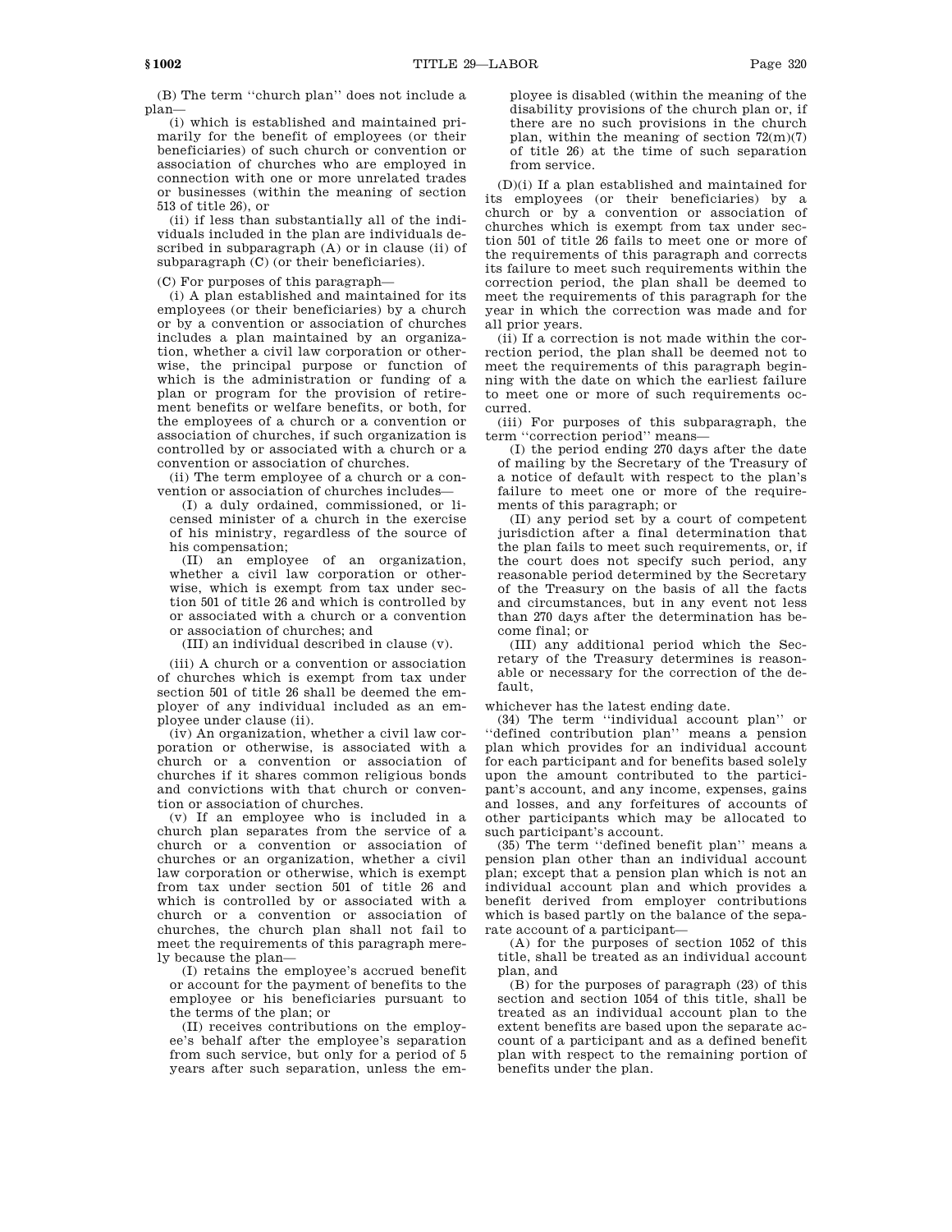(B) The term ''church plan'' does not include a plan—

(i) which is established and maintained primarily for the benefit of employees (or their beneficiaries) of such church or convention or association of churches who are employed in connection with one or more unrelated trades or businesses (within the meaning of section 513 of title 26), or

(ii) if less than substantially all of the individuals included in the plan are individuals described in subparagraph (A) or in clause (ii) of subparagraph (C) (or their beneficiaries).

(C) For purposes of this paragraph—

(i) A plan established and maintained for its employees (or their beneficiaries) by a church or by a convention or association of churches includes a plan maintained by an organization, whether a civil law corporation or otherwise, the principal purpose or function of which is the administration or funding of a plan or program for the provision of retirement benefits or welfare benefits, or both, for the employees of a church or a convention or association of churches, if such organization is controlled by or associated with a church or a convention or association of churches.

(ii) The term employee of a church or a convention or association of churches includes—

(I) a duly ordained, commissioned, or licensed minister of a church in the exercise of his ministry, regardless of the source of his compensation;

(II) an employee of an organization, whether a civil law corporation or otherwise, which is exempt from tax under section 501 of title 26 and which is controlled by or associated with a church or a convention or association of churches; and

(III) an individual described in clause (v).

(iii) A church or a convention or association of churches which is exempt from tax under section 501 of title 26 shall be deemed the employer of any individual included as an employee under clause (ii).

(iv) An organization, whether a civil law corporation or otherwise, is associated with a church or a convention or association of churches if it shares common religious bonds and convictions with that church or convention or association of churches.

(v) If an employee who is included in a church plan separates from the service of a church or a convention or association of churches or an organization, whether a civil law corporation or otherwise, which is exempt from tax under section 501 of title 26 and which is controlled by or associated with a church or a convention or association of churches, the church plan shall not fail to meet the requirements of this paragraph merely because the plan—

(I) retains the employee's accrued benefit or account for the payment of benefits to the employee or his beneficiaries pursuant to the terms of the plan; or

(II) receives contributions on the employee's behalf after the employee's separation from such service, but only for a period of 5 years after such separation, unless the employee is disabled (within the meaning of the disability provisions of the church plan or, if there are no such provisions in the church plan, within the meaning of section 72(m)(7) of title 26) at the time of such separation from service.

(D)(i) If a plan established and maintained for its employees (or their beneficiaries) by a church or by a convention or association of churches which is exempt from tax under section 501 of title 26 fails to meet one or more of the requirements of this paragraph and corrects its failure to meet such requirements within the correction period, the plan shall be deemed to meet the requirements of this paragraph for the year in which the correction was made and for all prior years.

(ii) If a correction is not made within the correction period, the plan shall be deemed not to meet the requirements of this paragraph beginning with the date on which the earliest failure to meet one or more of such requirements occurred.

(iii) For purposes of this subparagraph, the term ''correction period'' means—

(I) the period ending 270 days after the date of mailing by the Secretary of the Treasury of a notice of default with respect to the plan's failure to meet one or more of the requirements of this paragraph; or

(II) any period set by a court of competent jurisdiction after a final determination that the plan fails to meet such requirements, or, if the court does not specify such period, any reasonable period determined by the Secretary of the Treasury on the basis of all the facts and circumstances, but in any event not less than 270 days after the determination has become final; or

(III) any additional period which the Secretary of the Treasury determines is reasonable or necessary for the correction of the default,

whichever has the latest ending date.

(34) The term ''individual account plan'' or ''defined contribution plan'' means a pension plan which provides for an individual account for each participant and for benefits based solely upon the amount contributed to the participant's account, and any income, expenses, gains and losses, and any forfeitures of accounts of other participants which may be allocated to such participant's account.

(35) The term ''defined benefit plan'' means a pension plan other than an individual account plan; except that a pension plan which is not an individual account plan and which provides a benefit derived from employer contributions which is based partly on the balance of the separate account of a participant—

(A) for the purposes of section 1052 of this title, shall be treated as an individual account plan, and

(B) for the purposes of paragraph (23) of this section and section 1054 of this title, shall be treated as an individual account plan to the extent benefits are based upon the separate account of a participant and as a defined benefit plan with respect to the remaining portion of benefits under the plan.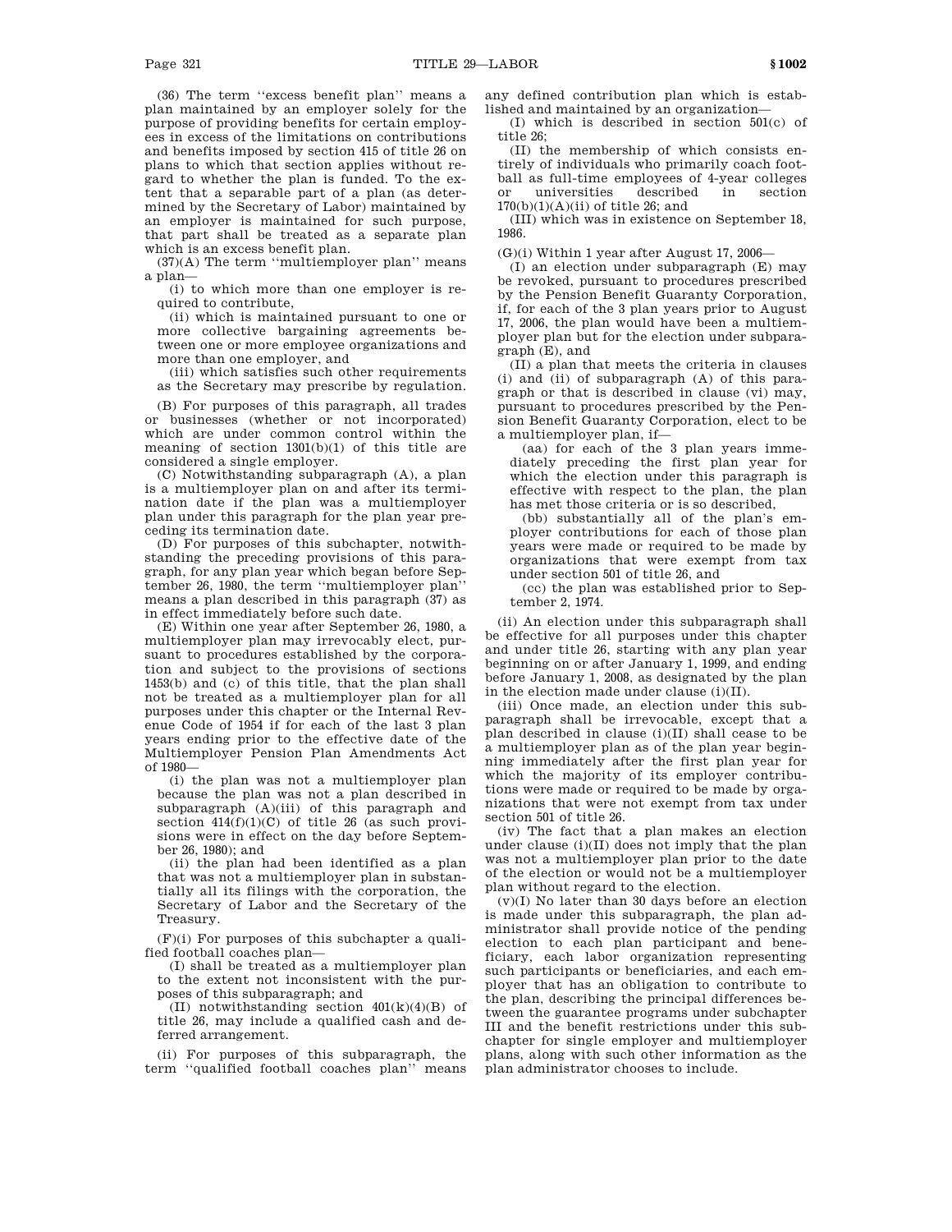(36) The term ''excess benefit plan'' means a plan maintained by an employer solely for the purpose of providing benefits for certain employees in excess of the limitations on contributions and benefits imposed by section 415 of title 26 on plans to which that section applies without regard to whether the plan is funded. To the extent that a separable part of a plan (as determined by the Secretary of Labor) maintained by an employer is maintained for such purpose, that part shall be treated as a separate plan which is an excess benefit plan.

(37)(A) The term ''multiemployer plan'' means a plan—

(i) to which more than one employer is required to contribute,

(ii) which is maintained pursuant to one or more collective bargaining agreements between one or more employee organizations and more than one employer, and

(iii) which satisfies such other requirements as the Secretary may prescribe by regulation.

(B) For purposes of this paragraph, all trades or businesses (whether or not incorporated) which are under common control within the meaning of section 1301(b)(1) of this title are considered a single employer.

(C) Notwithstanding subparagraph (A), a plan is a multiemployer plan on and after its termination date if the plan was a multiemployer plan under this paragraph for the plan year preceding its termination date.

(D) For purposes of this subchapter, notwithstanding the preceding provisions of this paragraph, for any plan year which began before September 26, 1980, the term ''multiemployer plan'' means a plan described in this paragraph (37) as in effect immediately before such date.

(E) Within one year after September 26, 1980, a multiemployer plan may irrevocably elect, pursuant to procedures established by the corporation and subject to the provisions of sections 1453(b) and (c) of this title, that the plan shall not be treated as a multiemployer plan for all purposes under this chapter or the Internal Revenue Code of 1954 if for each of the last 3 plan years ending prior to the effective date of the Multiemployer Pension Plan Amendments Act of 1980—

(i) the plan was not a multiemployer plan because the plan was not a plan described in subparagraph (A)(iii) of this paragraph and section  $414(f)(1)(C)$  of title 26 (as such provisions were in effect on the day before September 26, 1980); and

(ii) the plan had been identified as a plan that was not a multiemployer plan in substantially all its filings with the corporation, the Secretary of Labor and the Secretary of the Treasury.

(F)(i) For purposes of this subchapter a qualified football coaches plan—

(I) shall be treated as a multiemployer plan to the extent not inconsistent with the purposes of this subparagraph; and

(II) notwithstanding section 401(k)(4)(B) of title 26, may include a qualified cash and deferred arrangement.

(ii) For purposes of this subparagraph, the term ''qualified football coaches plan'' means

any defined contribution plan which is established and maintained by an organization—

(I) which is described in section 501(c) of title 26;

(II) the membership of which consists entirely of individuals who primarily coach football as full-time employees of 4-year colleges or universities described in section  $170(b)(1)(A)(ii)$  of title 26; and

(III) which was in existence on September 18, 1986.

(G)(i) Within 1 year after August 17, 2006—

(I) an election under subparagraph (E) may be revoked, pursuant to procedures prescribed by the Pension Benefit Guaranty Corporation, if, for each of the 3 plan years prior to August 17, 2006, the plan would have been a multiemployer plan but for the election under subparagraph (E), and

(II) a plan that meets the criteria in clauses (i) and (ii) of subparagraph (A) of this paragraph or that is described in clause (vi) may, pursuant to procedures prescribed by the Pension Benefit Guaranty Corporation, elect to be a multiemployer plan, if—

(aa) for each of the 3 plan years immediately preceding the first plan year for which the election under this paragraph is effective with respect to the plan, the plan has met those criteria or is so described,

(bb) substantially all of the plan's employer contributions for each of those plan years were made or required to be made by organizations that were exempt from tax under section 501 of title 26, and

(cc) the plan was established prior to September 2, 1974.

(ii) An election under this subparagraph shall be effective for all purposes under this chapter and under title 26, starting with any plan year beginning on or after January 1, 1999, and ending before January 1, 2008, as designated by the plan in the election made under clause (i)(II).

(iii) Once made, an election under this subparagraph shall be irrevocable, except that a plan described in clause (i)(II) shall cease to be a multiemployer plan as of the plan year beginning immediately after the first plan year for which the majority of its employer contributions were made or required to be made by organizations that were not exempt from tax under section 501 of title 26.

(iv) The fact that a plan makes an election under clause  $(i)(II)$  does not imply that the plan was not a multiemployer plan prior to the date of the election or would not be a multiemployer plan without regard to the election.

 $(v)(I)$  No later than 30 days before an election is made under this subparagraph, the plan administrator shall provide notice of the pending election to each plan participant and beneficiary, each labor organization representing such participants or beneficiaries, and each employer that has an obligation to contribute to the plan, describing the principal differences between the guarantee programs under subchapter III and the benefit restrictions under this subchapter for single employer and multiemployer plans, along with such other information as the plan administrator chooses to include.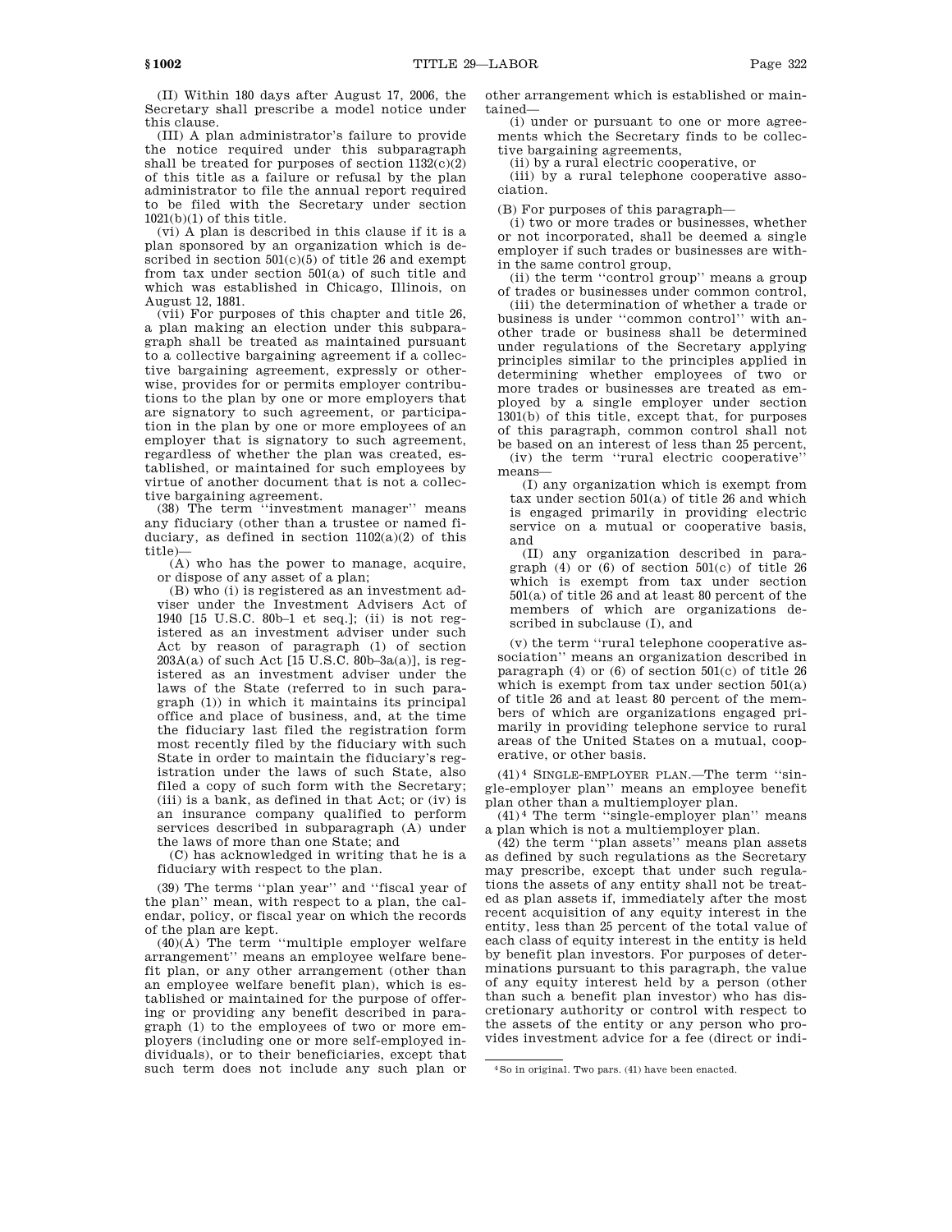(II) Within 180 days after August 17, 2006, the Secretary shall prescribe a model notice under this clause.

(III) A plan administrator's failure to provide the notice required under this subparagraph shall be treated for purposes of section 1132(c)(2) of this title as a failure or refusal by the plan administrator to file the annual report required to be filed with the Secretary under section 1021(b)(1) of this title.

(vi) A plan is described in this clause if it is a plan sponsored by an organization which is described in section 501(c)(5) of title 26 and exempt from tax under section 501(a) of such title and which was established in Chicago, Illinois, on August 12, 1881.

(vii) For purposes of this chapter and title 26, a plan making an election under this subparagraph shall be treated as maintained pursuant to a collective bargaining agreement if a collective bargaining agreement, expressly or otherwise, provides for or permits employer contributions to the plan by one or more employers that are signatory to such agreement, or participation in the plan by one or more employees of an employer that is signatory to such agreement, regardless of whether the plan was created, established, or maintained for such employees by virtue of another document that is not a collective bargaining agreement.

(38) The term ''investment manager'' means any fiduciary (other than a trustee or named fiduciary, as defined in section 1102(a)(2) of this title)—

(A) who has the power to manage, acquire, or dispose of any asset of a plan;

(B) who (i) is registered as an investment adviser under the Investment Advisers Act of 1940 [15 U.S.C. 80b–1 et seq.]; (ii) is not registered as an investment adviser under such Act by reason of paragraph (1) of section 203A(a) of such Act [15 U.S.C. 80b–3a(a)], is registered as an investment adviser under the laws of the State (referred to in such paragraph (1)) in which it maintains its principal office and place of business, and, at the time the fiduciary last filed the registration form most recently filed by the fiduciary with such State in order to maintain the fiduciary's registration under the laws of such State, also filed a copy of such form with the Secretary; (iii) is a bank, as defined in that Act; or (iv) is an insurance company qualified to perform services described in subparagraph (A) under the laws of more than one State; and

(C) has acknowledged in writing that he is a fiduciary with respect to the plan.

(39) The terms ''plan year'' and ''fiscal year of the plan'' mean, with respect to a plan, the calendar, policy, or fiscal year on which the records of the plan are kept.

(40)(A) The term ''multiple employer welfare arrangement'' means an employee welfare benefit plan, or any other arrangement (other than an employee welfare benefit plan), which is established or maintained for the purpose of offering or providing any benefit described in paragraph (1) to the employees of two or more employers (including one or more self-employed individuals), or to their beneficiaries, except that such term does not include any such plan or other arrangement which is established or maintained—

(i) under or pursuant to one or more agreements which the Secretary finds to be collective bargaining agreements,

(ii) by a rural electric cooperative, or

(iii) by a rural telephone cooperative association.

(B) For purposes of this paragraph—

(i) two or more trades or businesses, whether or not incorporated, shall be deemed a single employer if such trades or businesses are within the same control group,

(ii) the term ''control group'' means a group of trades or businesses under common control,

(iii) the determination of whether a trade or business is under ''common control'' with another trade or business shall be determined under regulations of the Secretary applying principles similar to the principles applied in determining whether employees of two or more trades or businesses are treated as employed by a single employer under section 1301(b) of this title, except that, for purposes of this paragraph, common control shall not be based on an interest of less than 25 percent,

(iv) the term ''rural electric cooperative'' means—

(I) any organization which is exempt from tax under section 501(a) of title 26 and which is engaged primarily in providing electric service on a mutual or cooperative basis, and

(II) any organization described in paragraph (4) or (6) of section 501(c) of title 26 which is exempt from tax under section 501(a) of title 26 and at least 80 percent of the members of which are organizations described in subclause (I), and

(v) the term ''rural telephone cooperative association'' means an organization described in paragraph (4) or (6) of section 501(c) of title 26 which is exempt from tax under section 501(a) of title 26 and at least 80 percent of the members of which are organizations engaged primarily in providing telephone service to rural areas of the United States on a mutual, cooperative, or other basis.

(41) 4 SINGLE-EMPLOYER PLAN.—The term ''single-employer plan'' means an employee benefit plan other than a multiemployer plan.

 $(41)^4$  The term "single-employer plan" means a plan which is not a multiemployer plan.

(42) the term ''plan assets'' means plan assets as defined by such regulations as the Secretary may prescribe, except that under such regulations the assets of any entity shall not be treated as plan assets if, immediately after the most recent acquisition of any equity interest in the entity, less than 25 percent of the total value of each class of equity interest in the entity is held by benefit plan investors. For purposes of determinations pursuant to this paragraph, the value of any equity interest held by a person (other than such a benefit plan investor) who has discretionary authority or control with respect to the assets of the entity or any person who provides investment advice for a fee (direct or indi-

<sup>4</sup>So in original. Two pars. (41) have been enacted.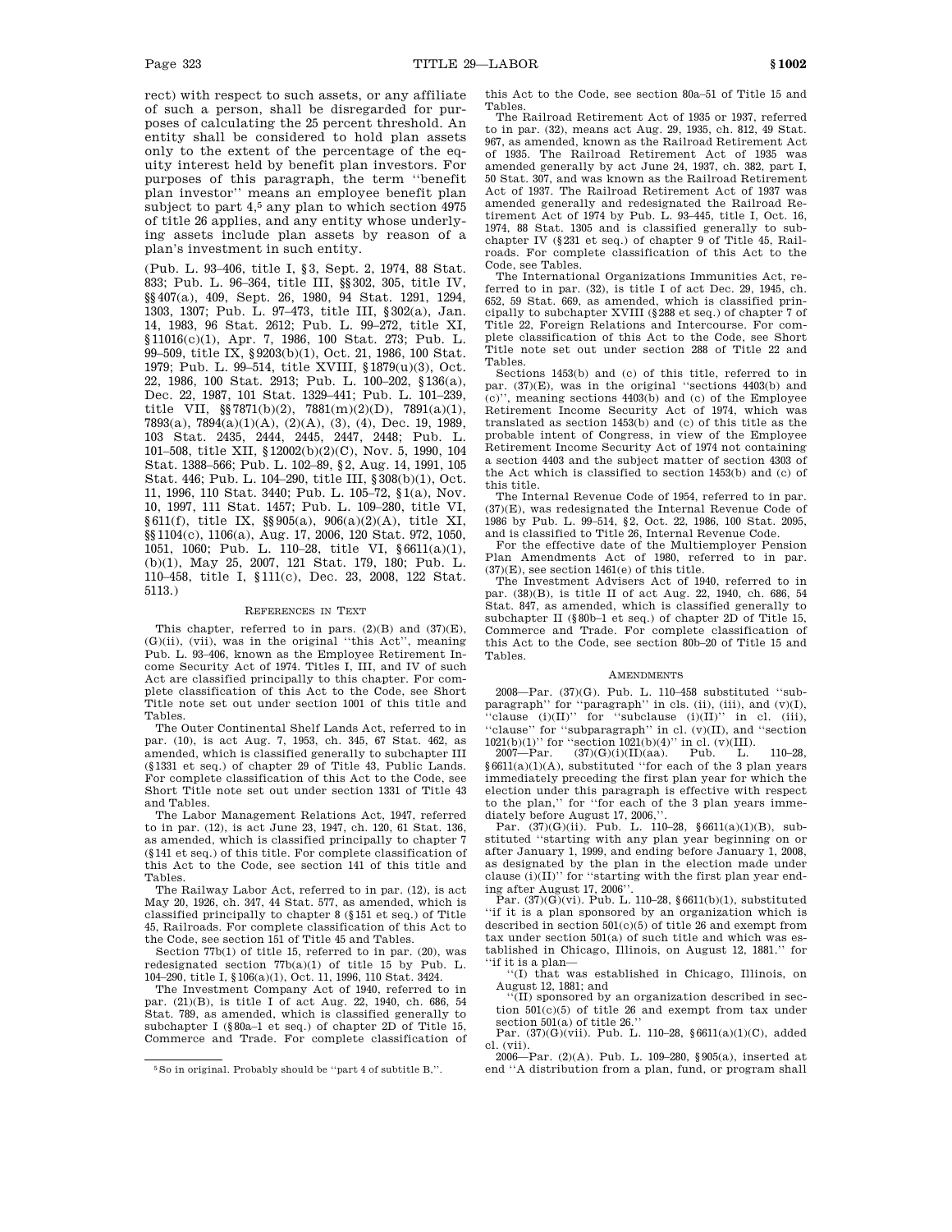rect) with respect to such assets, or any affiliate of such a person, shall be disregarded for purposes of calculating the 25 percent threshold. An entity shall be considered to hold plan assets only to the extent of the percentage of the equity interest held by benefit plan investors. For purposes of this paragraph, the term ''benefit plan investor'' means an employee benefit plan subject to part 4,5 any plan to which section 4975 of title 26 applies, and any entity whose underlying assets include plan assets by reason of a plan's investment in such entity.

(Pub. L. 93–406, title I, §3, Sept. 2, 1974, 88 Stat. 833; Pub. L. 96–364, title III, §§302, 305, title IV, §§407(a), 409, Sept. 26, 1980, 94 Stat. 1291, 1294, 1303, 1307; Pub. L. 97–473, title III, §302(a), Jan. 14, 1983, 96 Stat. 2612; Pub. L. 99–272, title XI, §11016(c)(1), Apr. 7, 1986, 100 Stat. 273; Pub. L. 99–509, title IX, §9203(b)(1), Oct. 21, 1986, 100 Stat. 1979; Pub. L. 99–514, title XVIII, §1879(u)(3), Oct. 22, 1986, 100 Stat. 2913; Pub. L. 100–202, §136(a), Dec. 22, 1987, 101 Stat. 1329–441; Pub. L. 101–239, title VII,  $\S 7871(b)(2)$ ,  $7881(m)(2)(D)$ ,  $7891(a)(1)$ , 7893(a), 7894(a)(1)(A), (2)(A), (3), (4), Dec. 19, 1989, 103 Stat. 2435, 2444, 2445, 2447, 2448; Pub. L. 101–508, title XII, §12002(b)(2)(C), Nov. 5, 1990, 104 Stat. 1388–566; Pub. L. 102–89, §2, Aug. 14, 1991, 105 Stat. 446; Pub. L. 104–290, title III, §308(b)(1), Oct. 11, 1996, 110 Stat. 3440; Pub. L. 105–72, §1(a), Nov. 10, 1997, 111 Stat. 1457; Pub. L. 109–280, title VI, §611(f), title IX, §§905(a), 906(a)(2)(A), title XI, §§1104(c), 1106(a), Aug. 17, 2006, 120 Stat. 972, 1050, 1051, 1060; Pub. L. 110–28, title VI, §6611(a)(1), (b)(1), May 25, 2007, 121 Stat. 179, 180; Pub. L. 110–458, title I, §111(c), Dec. 23, 2008, 122 Stat. 5113.)

### REFERENCES IN TEXT

This chapter, referred to in pars.  $(2)(B)$  and  $(37)(E)$ ,  $(G)(ii)$ ,  $(vii)$ , was in the original "this Act", meaning Pub. L. 93–406, known as the Employee Retirement Income Security Act of 1974. Titles I, III, and IV of such Act are classified principally to this chapter. For complete classification of this Act to the Code, see Short Title note set out under section 1001 of this title and Tables.

The Outer Continental Shelf Lands Act, referred to in par. (10), is act Aug. 7, 1953, ch. 345, 67 Stat. 462, as amended, which is classified generally to subchapter III (§1331 et seq.) of chapter 29 of Title 43, Public Lands. For complete classification of this Act to the Code, see Short Title note set out under section 1331 of Title 43 and Tables.

The Labor Management Relations Act, 1947, referred to in par. (12), is act June 23, 1947, ch. 120, 61 Stat. 136, as amended, which is classified principally to chapter 7 (§141 et seq.) of this title. For complete classification of this Act to the Code, see section 141 of this title and Tables.

The Railway Labor Act, referred to in par. (12), is act May 20, 1926, ch. 347, 44 Stat. 577, as amended, which is classified principally to chapter 8 (§151 et seq.) of Title 45, Railroads. For complete classification of this Act to the Code, see section 151 of Title 45 and Tables.

Section 77b(1) of title 15, referred to in par. (20), was redesignated section  $77b(a)(1)$  of title 15 by Pub. L. 104–290, title I, §106(a)(1), Oct. 11, 1996, 110 Stat. 3424.

The Investment Company Act of 1940, referred to in par. (21)(B), is title I of act Aug. 22, 1940, ch. 686, 54 Stat. 789, as amended, which is classified generally to subchapter I (§80a–1 et seq.) of chapter 2D of Title 15, Commerce and Trade. For complete classification of this Act to the Code, see section 80a–51 of Title 15 and Tables.

The Railroad Retirement Act of 1935 or 1937, referred to in par. (32), means act Aug. 29, 1935, ch. 812, 49 Stat. 967, as amended, known as the Railroad Retirement Act of 1935. The Railroad Retirement Act of 1935 was amended generally by act June 24, 1937, ch. 382, part I, 50 Stat. 307, and was known as the Railroad Retirement Act of 1937. The Railroad Retirement Act of 1937 was amended generally and redesignated the Railroad Retirement Act of 1974 by Pub. L. 93–445, title I, Oct. 16, 1974, 88 Stat. 1305 and is classified generally to subchapter IV (§231 et seq.) of chapter 9 of Title 45, Railroads. For complete classification of this Act to the Code, see Tables.

The International Organizations Immunities Act, referred to in par. (32), is title I of act Dec. 29, 1945, ch. 652, 59 Stat. 669, as amended, which is classified principally to subchapter XVIII (§288 et seq.) of chapter 7 of Title 22, Foreign Relations and Intercourse. For complete classification of this Act to the Code, see Short Title note set out under section 288 of Title 22 and Tables.

Sections 1453(b) and (c) of this title, referred to in par. (37)(E), was in the original ''sections 4403(b) and (c)'', meaning sections 4403(b) and (c) of the Employee Retirement Income Security Act of 1974, which was translated as section 1453(b) and (c) of this title as the probable intent of Congress, in view of the Employee Retirement Income Security Act of 1974 not containing a section 4403 and the subject matter of section 4303 of the Act which is classified to section 1453(b) and (c) of this title.

The Internal Revenue Code of 1954, referred to in par. (37)(E), was redesignated the Internal Revenue Code of 1986 by Pub. L. 99–514, §2, Oct. 22, 1986, 100 Stat. 2095, and is classified to Title 26, Internal Revenue Code.

For the effective date of the Multiemployer Pension Plan Amendments Act of 1980, referred to in par.

(37)(E), see section 1461(e) of this title. The Investment Advisers Act of 1940, referred to in par. (38)(B), is title II of act Aug. 22, 1940, ch. 686, 54 Stat. 847, as amended, which is classified generally to subchapter II (§80b–1 et seq.) of chapter 2D of Title 15, Commerce and Trade. For complete classification of this Act to the Code, see section 80b–20 of Title 15 and Tables.

#### AMENDMENTS

2008—Par. (37)(G). Pub. L. 110–458 substituted ''subparagraph'' for ''paragraph'' in cls. (ii), (iii), and (v)(I), "clause  $(i)(II)$ " for "subclause  $(i)(II)$ " in cl.  $(iii)$ , ''clause'' for ''subparagraph'' in cl. (v)(II), and ''section 1021(b)(1)" for "section 1021(b)(4)" in cl. (v)(III).<br>
2007—Par. (37)(G)(i)(II)(aa). Pub. L.

 $(37)(G)(i)(II)(aa)$ . Pub. L. 110–28, §6611(a)(1)(A), substituted ''for each of the 3 plan years immediately preceding the first plan year for which the election under this paragraph is effective with respect to the plan,'' for ''for each of the 3 plan years immediately before August 17, 2006,''. Par. (37)(G)(ii). Pub. L. 110–28, §6611(a)(1)(B), sub-

stituted ''starting with any plan year beginning on or after January 1, 1999, and ending before January 1, 2008, as designated by the plan in the election made under clause (i)(II)'' for ''starting with the first plan year ending after August 17, 2006''.

Par.  $(37)(G)(vi)$ . Pub. L. 110-28, §6611(b)(1), substituted ''if it is a plan sponsored by an organization which is described in section 501(c)(5) of title 26 and exempt from tax under section 501(a) of such title and which was established in Chicago, Illinois, on August 12, 1881.'' for ''if it is a plan—

''(I) that was established in Chicago, Illinois, on August 12, 1881; and

''(II) sponsored by an organization described in section 501(c)(5) of title 26 and exempt from tax under section  $501(a)$  of title 26.'

Par. (37)(G)(vii). Pub. L. 110–28, §6611(a)(1)(C), added cl. (vii). 2006—Par. (2)(A). Pub. L. 109–280, §905(a), inserted at

end ''A distribution from a plan, fund, or program shall

<sup>5</sup>So in original. Probably should be ''part 4 of subtitle B,''.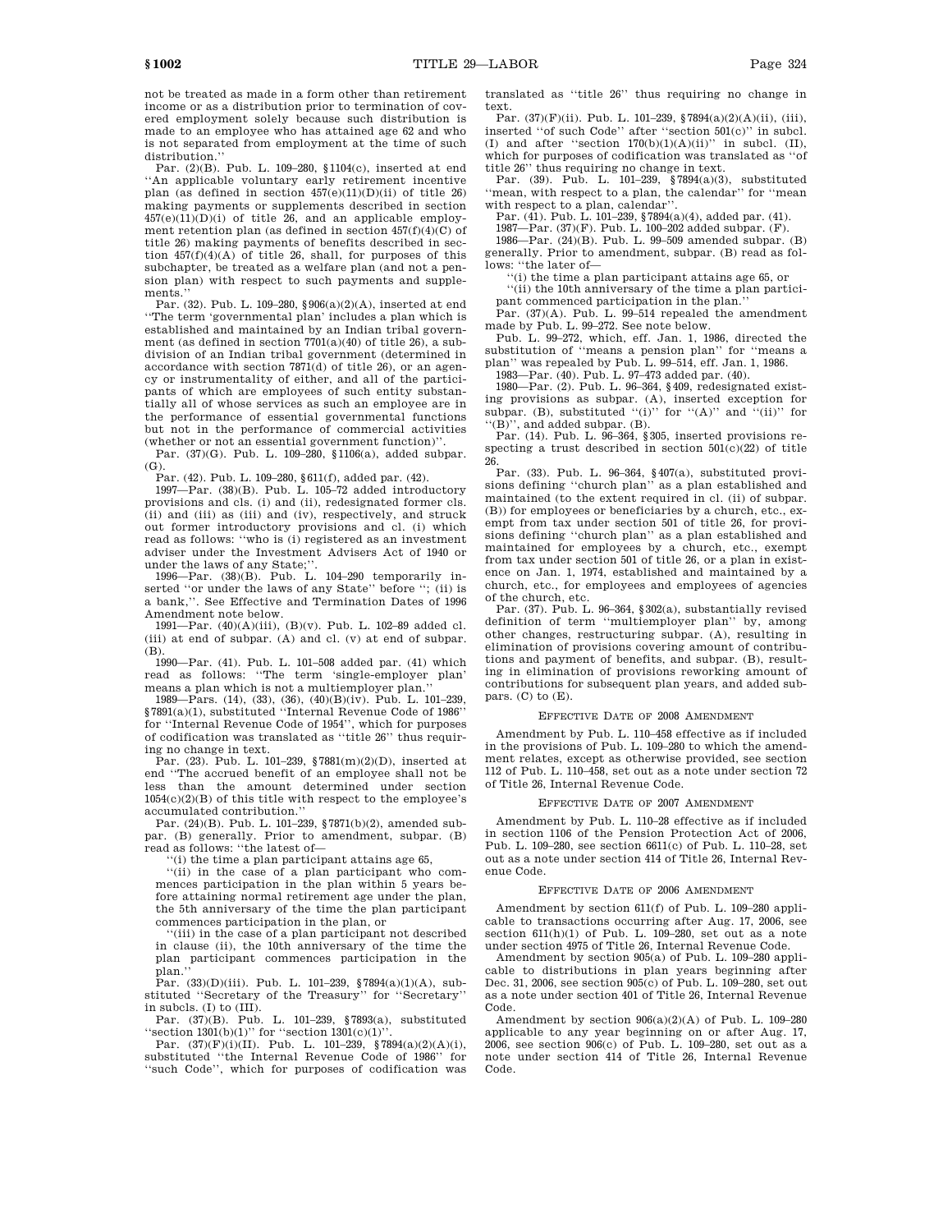not be treated as made in a form other than retirement income or as a distribution prior to termination of covered employment solely because such distribution is made to an employee who has attained age 62 and who is not separated from employment at the time of such distribution.<sup>1</sup>

Par. (2)(B). Pub. L. 109–280, §1104(c), inserted at end ''An applicable voluntary early retirement incentive plan (as defined in section  $457(e)(11)(D)(ii)$  of title 26) making payments or supplements described in section  $457(e)(11)(D)(i)$  of title 26, and an applicable employment retention plan (as defined in section  $457(f)(4)(C)$  of title 26) making payments of benefits described in section  $457(f)(4)(A)$  of title 26, shall, for purposes of this subchapter, be treated as a welfare plan (and not a pension plan) with respect to such payments and supplements.'

Par. (32). Pub. L. 109–280, §906(a)(2)(A), inserted at end ''The term 'governmental plan' includes a plan which is established and maintained by an Indian tribal government (as defined in section  $7701(a)(40)$  of title 26), a subdivision of an Indian tribal government (determined in accordance with section 7871(d) of title 26), or an agency or instrumentality of either, and all of the participants of which are employees of such entity substantially all of whose services as such an employee are in the performance of essential governmental functions but not in the performance of commercial activities (whether or not an essential government function)''.

Par. (37)(G). Pub. L. 109–280, §1106(a), added subpar. (G).

Par. (42). Pub. L. 109–280, §611(f), added par. (42). 1997—Par. (38)(B). Pub. L. 105–72 added introductory provisions and cls. (i) and (ii), redesignated former cls. (ii) and (iii) as (iii) and (iv), respectively, and struck out former introductory provisions and cl. (i) which read as follows: ''who is (i) registered as an investment adviser under the Investment Advisers Act of 1940 or under the laws of any State;"

1996—Par. (38)(B). Pub. L. 104–290 temporarily inserted ''or under the laws of any State'' before ''; (ii) is a bank,''. See Effective and Termination Dates of 1996 Amendment note below.

1991—Par. (40)(A)(iii), (B)(v). Pub. L. 102–89 added cl. (iii) at end of subpar. (A) and cl. (v) at end of subpar. (B).

1990—Par. (41). Pub. L. 101–508 added par. (41) which read as follows: "The term 'single-employer plan' means a plan which is not a multiemployer plan.''

1989—Pars. (14), (33), (36), (40)(B)(iv). Pub. L. 101–239, §7891(a)(1), substituted ''Internal Revenue Code of 1986'' for ''Internal Revenue Code of 1954'', which for purposes of codification was translated as ''title 26'' thus requiring no change in text.

Par. (23). Pub. L. 101–239, §7881(m)(2)(D), inserted at end ''The accrued benefit of an employee shall not be less than the amount determined under section  $1054(c)(2)(\mathrm{B})$  of this title with respect to the employee's accumulated contribution.''

Par. (24)(B). Pub. L. 101–239, §7871(b)(2), amended subpar. (B) generally. Prior to amendment, subpar. (B) read as follows: ''the latest of—

''(i) the time a plan participant attains age 65,

''(ii) in the case of a plan participant who commences participation in the plan within 5 years before attaining normal retirement age under the plan, the 5th anniversary of the time the plan participant commences participation in the plan, or

''(iii) in the case of a plan participant not described in clause (ii), the 10th anniversary of the time the plan participant commences participation in the

plan.'' Par. (33)(D)(iii). Pub. L. 101–239, §7894(a)(1)(A), substituted ''Secretary of the Treasury'' for ''Secretary'' in subcls. (I) to (III).

Par. (37)(B). Pub. L. 101–239, §7893(a), substituted ''section 1301(b)(1)'' for ''section 1301(c)(1)''.

Par.  $(37)(F)(i)(II)$ . Pub. L. 101-239, §7894(a)(2)(A)(i), substituted ''the Internal Revenue Code of 1986'' for ''such Code'', which for purposes of codification was translated as ''title 26'' thus requiring no change in text.

Par. (37)(F)(ii). Pub. L. 101–239, §7894(a)(2)(A)(ii), (iii), inserted ''of such Code'' after ''section 501(c)'' in subcl. (I) and after "section  $170(b)(1)(A)(ii)$ " in subcl. (II), which for purposes of codification was translated as ''of title 26'' thus requiring no change in text.

Par. (39). Pub. L. 101-239, §7894(a)(3), substituted "mean, with respect to a plan, the calendar" for "mean with respect to a plan, calendar''.

Par. (41). Pub. L. 101–239, §7894(a)(4), added par. (41).

1987—Par. (37)(F). Pub. L. 100–202 added subpar. (F). 1986—Par. (24)(B). Pub. L. 99–509 amended subpar. (B) generally. Prior to amendment, subpar. (B) read as follows: ''the later of—

''(i) the time a plan participant attains age 65, or

''(ii) the 10th anniversary of the time a plan participant commenced participation in the plan.''

Par. (37)(A). Pub. L. 99–514 repealed the amendment made by Pub. L. 99–272. See note below.

Pub. L. 99–272, which, eff. Jan. 1, 1986, directed the substitution of ''means a pension plan'' for ''means a plan'' was repealed by Pub. L. 99–514, eff. Jan. 1, 1986. 1983—Par. (40). Pub. L. 97–473 added par. (40).

1980—Par. (2). Pub. L. 96–364, §409, redesignated existing provisions as subpar. (A), inserted exception for subpar. (B), substituted " $(i)$ " for " $(A)$ " and " $(ii)$ " for  $``$ (B) $''$ , and added subpar. (B).

Par. (14). Pub. L. 96–364, §305, inserted provisions respecting a trust described in section 501(c)(22) of title 26.

Par. (33). Pub. L. 96–364, §407(a), substituted provisions defining ''church plan'' as a plan established and maintained (to the extent required in cl. (ii) of subpar. (B)) for employees or beneficiaries by a church, etc., exempt from tax under section 501 of title 26, for provisions defining ''church plan'' as a plan established and maintained for employees by a church, etc., exempt from tax under section 501 of title 26, or a plan in existence on Jan. 1, 1974, established and maintained by a church, etc., for employees and employees of agencies of the church, etc.

Par. (37). Pub. L. 96–364, §302(a), substantially revised definition of term "multiemployer plan" by, among other changes, restructuring subpar. (A), resulting in elimination of provisions covering amount of contributions and payment of benefits, and subpar. (B), resulting in elimination of provisions reworking amount of contributions for subsequent plan years, and added subpars.  $(C)$  to  $(E)$ .

# EFFECTIVE DATE OF 2008 AMENDMENT

Amendment by Pub. L. 110–458 effective as if included in the provisions of Pub. L. 109–280 to which the amendment relates, except as otherwise provided, see section 112 of Pub. L. 110–458, set out as a note under section 72 of Title 26, Internal Revenue Code.

## EFFECTIVE DATE OF 2007 AMENDMENT

Amendment by Pub. L. 110–28 effective as if included in section 1106 of the Pension Protection Act of 2006, Pub. L. 109–280, see section 6611(c) of Pub. L. 110–28, set out as a note under section 414 of Title 26, Internal Revenue Code.

## EFFECTIVE DATE OF 2006 AMENDMENT

Amendment by section 611(f) of Pub. L. 109–280 applicable to transactions occurring after Aug. 17, 2006, see section  $611(h)(1)$  of Pub. L. 109-280, set out as a note under section 4975 of Title 26, Internal Revenue Code.

Amendment by section 905(a) of Pub. L. 109–280 applicable to distributions in plan years beginning after Dec. 31, 2006, see section 905(c) of Pub. L. 109–280, set out as a note under section 401 of Title 26, Internal Revenue Code.

Amendment by section  $906(a)(2)(A)$  of Pub. L. 109–280 applicable to any year beginning on or after Aug. 17, 2006, see section 906(c) of Pub. L. 109–280, set out as a note under section 414 of Title 26, Internal Revenue Code.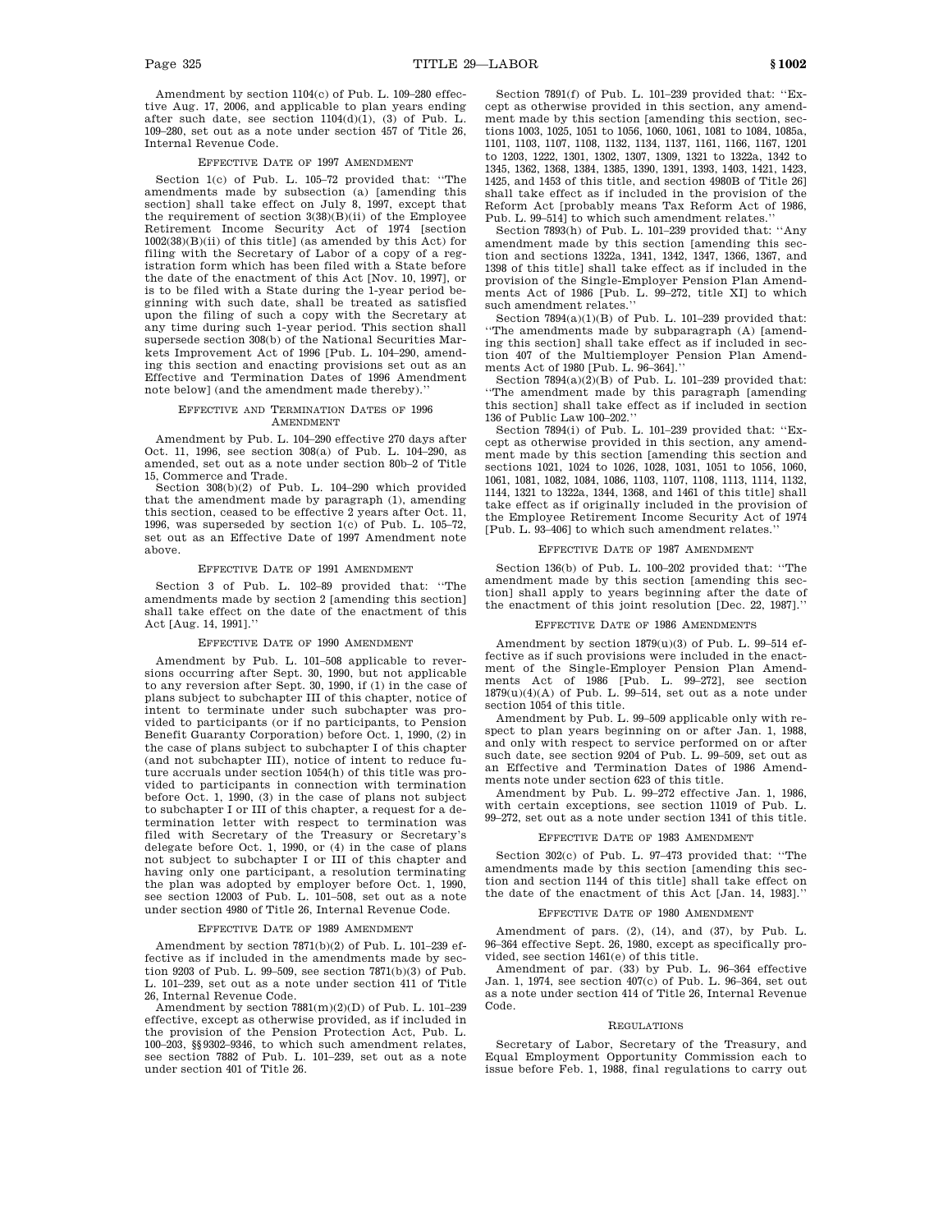Amendment by section 1104(c) of Pub. L. 109–280 effective Aug. 17, 2006, and applicable to plan years ending after such date, see section  $1104(d)(1)$ , (3) of Pub. L. 109–280, set out as a note under section 457 of Title 26, Internal Revenue Code.

## EFFECTIVE DATE OF 1997 AMENDMENT

Section 1(c) of Pub. L. 105–72 provided that: ''The amendments made by subsection (a) [amending this section] shall take effect on July 8, 1997, except that the requirement of section 3(38)(B)(ii) of the Employee Retirement Income Security Act of 1974 [section 1002(38)(B)(ii) of this title] (as amended by this Act) for filing with the Secretary of Labor of a copy of a registration form which has been filed with a State before the date of the enactment of this Act [Nov. 10, 1997], or is to be filed with a State during the 1-year period beginning with such date, shall be treated as satisfied upon the filing of such a copy with the Secretary at any time during such 1-year period. This section shall supersede section 308(b) of the National Securities Markets Improvement Act of 1996 [Pub. L. 104–290, amending this section and enacting provisions set out as an Effective and Termination Dates of 1996 Amendment note below] (and the amendment made thereby).''

### EFFECTIVE AND TERMINATION DATES OF 1996 AMENDMENT

Amendment by Pub. L. 104–290 effective 270 days after Oct. 11, 1996, see section 308(a) of Pub. L. 104–290, as amended, set out as a note under section 80b–2 of Title 15, Commerce and Trade.

Section  $308(b)(2)$  of Pub. L. 104-290 which provided that the amendment made by paragraph (1), amending this section, ceased to be effective 2 years after Oct. 11, 1996, was superseded by section 1(c) of Pub. L. 105–72, set out as an Effective Date of 1997 Amendment note above.

#### EFFECTIVE DATE OF 1991 AMENDMENT

Section 3 of Pub. L. 102–89 provided that: ''The amendments made by section 2 [amending this section] shall take effect on the date of the enactment of this Act [Aug. 14, 1991].''

## EFFECTIVE DATE OF 1990 AMENDMENT

Amendment by Pub. L. 101–508 applicable to reversions occurring after Sept. 30, 1990, but not applicable to any reversion after Sept. 30, 1990, if (1) in the case of plans subject to subchapter III of this chapter, notice of intent to terminate under such subchapter was provided to participants (or if no participants, to Pension Benefit Guaranty Corporation) before Oct. 1, 1990, (2) in the case of plans subject to subchapter I of this chapter (and not subchapter III), notice of intent to reduce future accruals under section 1054(h) of this title was provided to participants in connection with termination before Oct. 1, 1990, (3) in the case of plans not subject to subchapter I or III of this chapter, a request for a determination letter with respect to termination was filed with Secretary of the Treasury or Secretary's delegate before Oct. 1, 1990, or (4) in the case of plans not subject to subchapter I or III of this chapter and having only one participant, a resolution terminating the plan was adopted by employer before Oct. 1, 1990, see section 12003 of Pub. L. 101–508, set out as a note under section 4980 of Title 26, Internal Revenue Code.

### EFFECTIVE DATE OF 1989 AMENDME

Amendment by section 7871(b)(2) of Pub. L. 101–239 effective as if included in the amendments made by section 9203 of Pub. L. 99–509, see section 7871(b)(3) of Pub. L. 101–239, set out as a note under section 411 of Title 26, Internal Revenue Code.

Amendment by section 7881(m)(2)(D) of Pub. L. 101–239 effective, except as otherwise provided, as if included in the provision of the Pension Protection Act, Pub. L. 100–203, §§9302–9346, to which such amendment relates, see section 7882 of Pub. L. 101–239, set out as a note under section 401 of Title 26.

Section 7891(f) of Pub. L. 101–239 provided that: ''Except as otherwise provided in this section, any amendment made by this section [amending this section, sections 1003, 1025, 1051 to 1056, 1060, 1061, 1081 to 1084, 1085a, 1101, 1103, 1107, 1108, 1132, 1134, 1137, 1161, 1166, 1167, 1201 to 1203, 1222, 1301, 1302, 1307, 1309, 1321 to 1322a, 1342 to 1345, 1362, 1368, 1384, 1385, 1390, 1391, 1393, 1403, 1421, 1423, 1425, and 1453 of this title, and section 4980B of Title 26] shall take effect as if included in the provision of the Reform Act [probably means Tax Reform Act of 1986, Pub. L. 99–514] to which such amendment relates.''

Section 7893(h) of Pub. L. 101–239 provided that: ''Any amendment made by this section [amending this section and sections 1322a, 1341, 1342, 1347, 1366, 1367, and 1398 of this title] shall take effect as if included in the provision of the Single-Employer Pension Plan Amendments Act of 1986 [Pub. L. 99–272, title XI] to which such amendment relates.

Section  $7894(a)(1)(B)$  of Pub. L. 101–239 provided that: ''The amendments made by subparagraph (A) [amending this section] shall take effect as if included in section 407 of the Multiemployer Pension Plan Amendments Act of 1980 [Pub. L. 96–364].''

Section  $7894(a)(2)(B)$  of Pub. L. 101-239 provided that: ''The amendment made by this paragraph [amending this section] shall take effect as if included in section 136 of Public Law 100–202.''

Section 7894(i) of Pub. L. 101–239 provided that: ''Except as otherwise provided in this section, any amendment made by this section [amending this section and sections 1021, 1024 to 1026, 1028, 1031, 1051 to 1056, 1060, 1061, 1081, 1082, 1084, 1086, 1103, 1107, 1108, 1113, 1114, 1132, 1144, 1321 to 1322a, 1344, 1368, and 1461 of this title] shall take effect as if originally included in the provision of the Employee Retirement Income Security Act of 1974 [Pub. L. 93–406] to which such amendment relates.''

## EFFECTIVE DATE OF 1987 AMENDMENT

Section 136(b) of Pub. L. 100–202 provided that: ''The amendment made by this section [amending this section] shall apply to years beginning after the date of the enactment of this joint resolution [Dec. 22, 1987].''

## EFFECTIVE DATE OF 1986 AMENDMENTS

Amendment by section 1879(u)(3) of Pub. L. 99–514 effective as if such provisions were included in the enactment of the Single-Employer Pension Plan Amendments Act of 1986 [Pub. L. 99–272], see section  $1879(u)(4)(A)$  of Pub. L. 99-514, set out as a note under section 1054 of this title.

Amendment by Pub. L. 99–509 applicable only with respect to plan years beginning on or after Jan. 1, 1988, and only with respect to service performed on or after such date, see section 9204 of Pub. L. 99–509, set out as an Effective and Termination Dates of 1986 Amendments note under section 623 of this title.

Amendment by Pub. L. 99–272 effective Jan. 1, 1986, with certain exceptions, see section 11019 of Pub. L. 99–272, set out as a note under section 1341 of this title.

## EFFECTIVE DATE OF 1983 AMENDMENT

Section 302(c) of Pub. L. 97–473 provided that: ''The amendments made by this section [amending this section and section 1144 of this title] shall take effect on the date of the enactment of this Act [Jan. 14, 1983].''

# EFFECTIVE DATE OF 1980 AMENDMENT

Amendment of pars. (2), (14), and (37), by Pub. L. 96–364 effective Sept. 26, 1980, except as specifically provided, see section 1461(e) of this title.

Amendment of par. (33) by Pub. L. 96–364 effective Jan. 1, 1974, see section 407(c) of Pub. L. 96–364, set out as a note under section 414 of Title 26, Internal Revenue Code.

### REGULATIONS

Secretary of Labor, Secretary of the Treasury, and Equal Employment Opportunity Commission each to issue before Feb. 1, 1988, final regulations to carry out